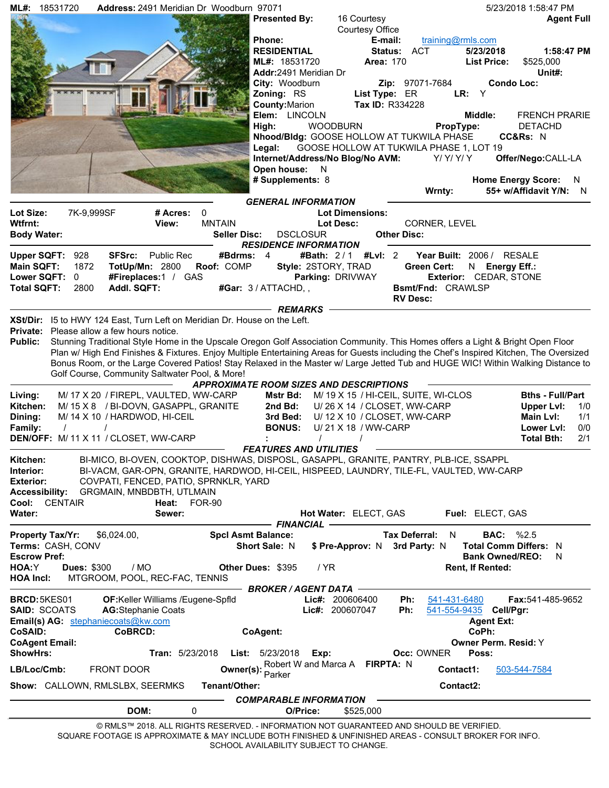| 18531720<br>ML#:                                                          | Address: 2491 Meridian Dr Woodburn 97071                                                                |                                 |                                                |                               | 5/23/2018 1:58:47 PM                                                                                                                    |
|---------------------------------------------------------------------------|---------------------------------------------------------------------------------------------------------|---------------------------------|------------------------------------------------|-------------------------------|-----------------------------------------------------------------------------------------------------------------------------------------|
|                                                                           |                                                                                                         | <b>Presented By:</b>            | 16 Courtesy                                    |                               | <b>Agent Full</b>                                                                                                                       |
|                                                                           |                                                                                                         |                                 | Courtesy Office                                |                               |                                                                                                                                         |
|                                                                           |                                                                                                         | <b>Phone:</b>                   | E-mail:                                        | training@rmls.com             |                                                                                                                                         |
|                                                                           |                                                                                                         | <b>RESIDENTIAL</b>              |                                                | Status: ACT                   | 5/23/2018<br>1:58:47 PM                                                                                                                 |
|                                                                           |                                                                                                         | ML#: 18531720                   | <b>Area: 170</b>                               |                               | \$525,000<br><b>List Price:</b>                                                                                                         |
|                                                                           |                                                                                                         | Addr:2491 Meridian Dr           |                                                |                               | Unit#:                                                                                                                                  |
|                                                                           |                                                                                                         | City: Woodburn                  |                                                | <b>Zip:</b> 97071-7684<br>LR: | <b>Condo Loc:</b><br>Y                                                                                                                  |
|                                                                           |                                                                                                         | Zoning: RS                      | List Type: ER<br>Tax ID: R334228               |                               |                                                                                                                                         |
|                                                                           |                                                                                                         | County: Marion<br>Elem: LINCOLN |                                                |                               | <b>FRENCH PRARIE</b><br>Middle:                                                                                                         |
|                                                                           |                                                                                                         | High:                           | <b>WOODBURN</b>                                | PropType:                     | <b>DETACHD</b>                                                                                                                          |
|                                                                           |                                                                                                         |                                 | Nhood/Bldg: GOOSE HOLLOW AT TUKWILA PHASE      |                               | CC&Rs: N                                                                                                                                |
|                                                                           |                                                                                                         | Legal:                          | GOOSE HOLLOW AT TUKWILA PHASE 1, LOT 19        |                               |                                                                                                                                         |
|                                                                           |                                                                                                         |                                 | Internet/Address/No Blog/No AVM:               | Y/Y/Y/Y                       | Offer/Nego:CALL-LA                                                                                                                      |
|                                                                           |                                                                                                         | Open house: N                   |                                                |                               |                                                                                                                                         |
|                                                                           |                                                                                                         | # Supplements: 8                |                                                |                               | <b>Home Energy Score:</b><br>N.                                                                                                         |
|                                                                           |                                                                                                         |                                 |                                                | Wrnty:                        | 55+ w/Affidavit Y/N: N                                                                                                                  |
|                                                                           |                                                                                                         | <b>GENERAL INFORMATION</b>      |                                                |                               |                                                                                                                                         |
| Lot Size:<br>7K-9,999SF                                                   | # Acres:<br>$\mathbf{0}$                                                                                |                                 | <b>Lot Dimensions:</b>                         |                               |                                                                                                                                         |
| Wtfrnt:                                                                   | <b>MNTAIN</b><br>View:                                                                                  |                                 | <b>Lot Desc:</b>                               | CORNER, LEVEL                 |                                                                                                                                         |
| <b>Body Water:</b>                                                        | <b>Seller Disc:</b>                                                                                     | <b>DSCLOSUR</b>                 |                                                | <b>Other Disc:</b>            |                                                                                                                                         |
|                                                                           |                                                                                                         | <b>RESIDENCE INFORMATION</b>    |                                                |                               |                                                                                                                                         |
| <b>SFSrc:</b><br><b>Upper SQFT:</b><br>928                                | <b>Public Rec</b><br>#Bdrms: 4                                                                          |                                 | #Bath: 2/1 #LvI: 2                             |                               | Year Built: 2006 / RESALE                                                                                                               |
| Main SQFT:<br>1872                                                        | <b>TotUp/Mn: 2800</b><br>Roof: COMP                                                                     |                                 | Style: 2STORY, TRAD                            | <b>Green Cert:</b>            | N Energy Eff.:                                                                                                                          |
| Lower SQFT:<br>0                                                          | #Fireplaces:1 / GAS                                                                                     |                                 | Parking: DRIVWAY                               |                               | Exterior: CEDAR, STONE                                                                                                                  |
| Addl. SQFT:<br><b>Total SQFT:</b><br>2800                                 |                                                                                                         | #Gar: 3 / ATTACHD, ,            |                                                | Bsmt/Fnd: CRAWLSP             |                                                                                                                                         |
|                                                                           |                                                                                                         |                                 |                                                | <b>RV Desc:</b>               |                                                                                                                                         |
|                                                                           |                                                                                                         | <b>REMARKS</b>                  |                                                |                               |                                                                                                                                         |
| XSt/Dir: 15 to HWY 124 East, Turn Left on Meridian Dr. House on the Left. |                                                                                                         |                                 |                                                |                               |                                                                                                                                         |
| <b>Private:</b> Please allow a few hours notice.                          |                                                                                                         |                                 |                                                |                               |                                                                                                                                         |
| <b>Public:</b>                                                            |                                                                                                         |                                 |                                                |                               | Stunning Traditional Style Home in the Upscale Oregon Golf Association Community. This Homes offers a Light & Bright Open Floor         |
|                                                                           |                                                                                                         |                                 |                                                |                               | Plan w/ High End Finishes & Fixtures. Enjoy Multiple Entertaining Areas for Guests including the Chef's Inspired Kitchen, The Oversized |
|                                                                           |                                                                                                         |                                 |                                                |                               | Bonus Room, or the Large Covered Patios! Stay Relaxed in the Master w/ Large Jetted Tub and HUGE WIC! Within Walking Distance to        |
|                                                                           | Golf Course, Community Saltwater Pool, & More!                                                          |                                 |                                                |                               |                                                                                                                                         |
|                                                                           |                                                                                                         |                                 | <b>APPROXIMATE ROOM SIZES AND DESCRIPTIONS</b> |                               |                                                                                                                                         |
| Living:                                                                   | M/ 17 X 20 / FIREPL, VAULTED, WW-CARP                                                                   |                                 | Mstr Bd: M/ 19 X 15 / HI-CEIL, SUITE, WI-CLOS  |                               | <b>Bths - Full/Part</b>                                                                                                                 |
| Kitchen:                                                                  | M/15 X 8 / BI-DOVN, GASAPPL, GRANITE                                                                    | 2nd Bd:                         | U/26 X 14 / CLOSET, WW-CARP                    |                               | <b>Upper LvI:</b><br>1/0                                                                                                                |
| M/ 14 X 10 / HARDWOD, HI-CEIL<br>Dining:                                  |                                                                                                         | 3rd Bed:                        | U/12 X 10 / CLOSET, WW-CARP                    |                               | Main LvI:<br>1/1                                                                                                                        |
| Family:                                                                   |                                                                                                         | <b>BONUS:</b>                   | U/21 X 18 / WW-CARP                            |                               | 0/0<br>Lower Lyl:                                                                                                                       |
| DEN/OFF: M/ 11 X 11 / CLOSET, WW-CARP                                     |                                                                                                         |                                 | $\prime$                                       |                               | 2/1<br><b>Total Bth:</b>                                                                                                                |
|                                                                           |                                                                                                         | <b>FFATURES AND UTILITIES</b>   |                                                |                               |                                                                                                                                         |
| Kitchen:                                                                  | BI-MICO, BI-OVEN, COOKTOP, DISHWAS, DISPOSL, GASAPPL, GRANITE, PANTRY, PLB-ICE, SSAPPL                  |                                 |                                                |                               |                                                                                                                                         |
| Interior:                                                                 | BI-VACM, GAR-OPN, GRANITE, HARDWOD, HI-CEIL, HISPEED, LAUNDRY, TILE-FL, VAULTED, WW-CARP                |                                 |                                                |                               |                                                                                                                                         |
| <b>Exterior:</b>                                                          | COVPATI, FENCED, PATIO, SPRNKLR, YARD                                                                   |                                 |                                                |                               |                                                                                                                                         |
| <b>Accessibility:</b>                                                     | GRGMAIN, MNBDBTH, UTLMAIN                                                                               |                                 |                                                |                               |                                                                                                                                         |
| Cool:<br><b>CENTAIR</b>                                                   | Heat:<br><b>FOR-90</b>                                                                                  |                                 |                                                |                               |                                                                                                                                         |
| Water:                                                                    | Sewer:                                                                                                  |                                 | Hot Water: ELECT, GAS                          |                               | Fuel: ELECT, GAS                                                                                                                        |
|                                                                           |                                                                                                         | <b>FINANCIAL</b>                |                                                |                               |                                                                                                                                         |
| <b>Property Tax/Yr:</b><br>\$6,024.00,                                    |                                                                                                         | <b>Spcl Asmt Balance:</b>       |                                                | Tax Deferral: N               | <b>BAC:</b> %2.5                                                                                                                        |
| Terms: CASH, CONV                                                         |                                                                                                         | Short Sale: N                   | \$ Pre-Approv: N 3rd Party: N                  |                               | <b>Total Comm Differs: N</b>                                                                                                            |
| <b>Escrow Pref:</b>                                                       |                                                                                                         |                                 |                                                |                               | <b>Bank Owned/REO:</b><br>N                                                                                                             |
| HOA:Y<br><b>Dues: \$300</b><br>/ MO                                       |                                                                                                         | Other Dues: \$395               | / YR                                           |                               | Rent, If Rented:                                                                                                                        |
| <b>HOA Incl:</b>                                                          | MTGROOM, POOL, REC-FAC, TENNIS                                                                          |                                 |                                                |                               |                                                                                                                                         |
|                                                                           |                                                                                                         | BROKER / AGENT DATA             |                                                |                               |                                                                                                                                         |
| BRCD: 5KES01                                                              | OF:Keller Williams /Eugene-Spfld                                                                        |                                 | Lic#: 200606400                                | Ph:<br>541-431-6480           | <b>Fax:</b> 541-485-9652                                                                                                                |
| <b>SAID: SCOATS</b>                                                       | <b>AG:Stephanie Coats</b>                                                                               |                                 | Lic#: 200607047                                | Ph:<br>541-554-9435           | Cell/Pgr:                                                                                                                               |
| Email(s) AG: stephaniecoats@kw.com                                        |                                                                                                         |                                 |                                                |                               | <b>Agent Ext:</b>                                                                                                                       |
| CoBRCD:<br>CoSAID:                                                        |                                                                                                         | CoAgent:                        |                                                |                               | CoPh:                                                                                                                                   |
| <b>CoAgent Email:</b>                                                     |                                                                                                         |                                 |                                                |                               | Owner Perm. Resid: Y                                                                                                                    |
| <b>ShowHrs:</b>                                                           | <b>Tran: 5/23/2018</b>                                                                                  | <b>List: 5/23/2018</b>          | Exp:                                           | Occ: OWNER                    | Poss:                                                                                                                                   |
| LB/Loc/Cmb:<br><b>FRONT DOOR</b>                                          | Owner(s):                                                                                               |                                 | Robert W and Marca A FIRPTA: N                 | Contact1:                     | 503-544-7584                                                                                                                            |
|                                                                           |                                                                                                         | Parker                          |                                                |                               |                                                                                                                                         |
| Show: CALLOWN, RMLSLBX, SEERMKS                                           | Tenant/Other:                                                                                           |                                 |                                                | Contact2:                     |                                                                                                                                         |
|                                                                           |                                                                                                         | <b>COMPARABLE INFORMATION</b>   |                                                |                               |                                                                                                                                         |
| DOM:                                                                      | 0                                                                                                       | O/Price:                        | \$525,000                                      |                               |                                                                                                                                         |
|                                                                           | © RMLS™ 2018. ALL RIGHTS RESERVED. - INFORMATION NOT GUARANTEED AND SHOULD BE VERIFIED.                 |                                 |                                                |                               |                                                                                                                                         |
|                                                                           | SQUARE FOOTAGE IS APPROXIMATE & MAY INCLUDE BOTH FINISHED & UNFINISHED AREAS - CONSULT BROKER FOR INFO. |                                 |                                                |                               |                                                                                                                                         |

SCHOOL AVAILABILITY SUBJECT TO CHANGE.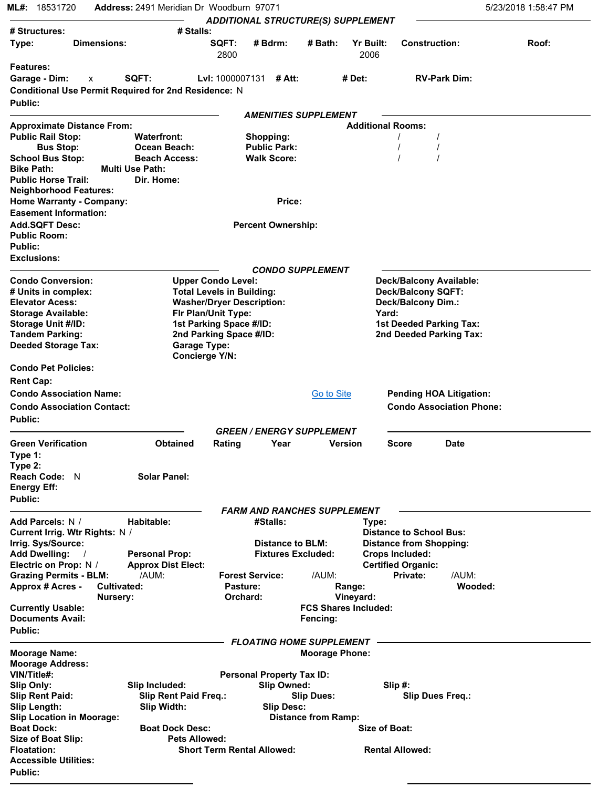| 18531720<br>ML#:                                                                             | Address: 2491 Meridian Dr Woodburn 97071                                |                                  | <b>ADDITIONAL STRUCTURE(S) SUPPLEMENT</b>              |                            |                                          |                                 | 5/23/2018 1:58:47 PM |
|----------------------------------------------------------------------------------------------|-------------------------------------------------------------------------|----------------------------------|--------------------------------------------------------|----------------------------|------------------------------------------|---------------------------------|----------------------|
| # Structures:                                                                                | # Stalls:                                                               |                                  |                                                        |                            |                                          |                                 |                      |
| <b>Dimensions:</b><br>Type:                                                                  |                                                                         | SQFT:<br>2800                    | # Bdrm:                                                | # Bath:                    | <b>Yr Built:</b><br>2006                 | <b>Construction:</b>            | Roof:                |
| <b>Features:</b>                                                                             |                                                                         |                                  |                                                        |                            |                                          |                                 |                      |
| Garage - Dim:<br>X<br>Conditional Use Permit Required for 2nd Residence: N<br><b>Public:</b> | SQFT:                                                                   | <b>Lyl:</b> 1000007131           | # Att:                                                 |                            | # Det:                                   | <b>RV-Park Dim:</b>             |                      |
|                                                                                              |                                                                         |                                  | <b>AMENITIES SUPPLEMENT</b>                            |                            |                                          |                                 |                      |
| <b>Approximate Distance From:</b>                                                            |                                                                         |                                  |                                                        |                            | <b>Additional Rooms:</b>                 |                                 |                      |
| <b>Public Rail Stop:</b><br><b>Bus Stop:</b>                                                 | <b>Waterfront:</b><br>Ocean Beach:                                      |                                  | Shopping:<br><b>Public Park:</b>                       |                            |                                          |                                 |                      |
| <b>School Bus Stop:</b>                                                                      | <b>Beach Access:</b>                                                    |                                  | <b>Walk Score:</b>                                     |                            |                                          |                                 |                      |
| <b>Bike Path:</b>                                                                            | <b>Multi Use Path:</b>                                                  |                                  |                                                        |                            |                                          |                                 |                      |
| <b>Public Horse Trail:</b>                                                                   | Dir. Home:                                                              |                                  |                                                        |                            |                                          |                                 |                      |
| <b>Neighborhood Features:</b>                                                                |                                                                         |                                  |                                                        |                            |                                          |                                 |                      |
| <b>Home Warranty - Company:</b>                                                              |                                                                         |                                  | Price:                                                 |                            |                                          |                                 |                      |
| <b>Easement Information:</b>                                                                 |                                                                         |                                  |                                                        |                            |                                          |                                 |                      |
| <b>Add.SQFT Desc:</b><br><b>Public Room:</b>                                                 |                                                                         |                                  | <b>Percent Ownership:</b>                              |                            |                                          |                                 |                      |
| <b>Public:</b>                                                                               |                                                                         |                                  |                                                        |                            |                                          |                                 |                      |
| <b>Exclusions:</b>                                                                           |                                                                         |                                  |                                                        |                            |                                          |                                 |                      |
|                                                                                              |                                                                         |                                  | <b>CONDO SUPPLEMENT</b>                                |                            |                                          |                                 |                      |
| <b>Condo Conversion:</b>                                                                     | <b>Upper Condo Level:</b>                                               |                                  |                                                        |                            |                                          | Deck/Balcony Available:         |                      |
| # Units in complex:                                                                          | <b>Total Levels in Building:</b>                                        |                                  |                                                        |                            |                                          | <b>Deck/Balcony SQFT:</b>       |                      |
| <b>Elevator Acess:</b>                                                                       |                                                                         | <b>Washer/Dryer Description:</b> |                                                        |                            | <b>Deck/Balcony Dim.:</b>                |                                 |                      |
| <b>Storage Available:</b><br>Storage Unit #/ID:                                              | Fir Plan/Unit Type:<br>1st Parking Space #/ID:                          |                                  |                                                        |                            | Yard:                                    | <b>1st Deeded Parking Tax:</b>  |                      |
| <b>Tandem Parking:</b>                                                                       |                                                                         |                                  |                                                        |                            |                                          | 2nd Deeded Parking Tax:         |                      |
| <b>Deeded Storage Tax:</b>                                                                   | 2nd Parking Space #/ID:<br><b>Garage Type:</b><br><b>Concierge Y/N:</b> |                                  |                                                        |                            |                                          |                                 |                      |
| <b>Condo Pet Policies:</b>                                                                   |                                                                         |                                  |                                                        |                            |                                          |                                 |                      |
| <b>Rent Cap:</b>                                                                             |                                                                         |                                  |                                                        |                            |                                          |                                 |                      |
| <b>Condo Association Name:</b>                                                               |                                                                         |                                  |                                                        | Go to Site                 |                                          | <b>Pending HOA Litigation:</b>  |                      |
| <b>Condo Association Contact:</b>                                                            |                                                                         |                                  |                                                        |                            |                                          | <b>Condo Association Phone:</b> |                      |
| Public:                                                                                      |                                                                         |                                  |                                                        |                            |                                          |                                 |                      |
|                                                                                              |                                                                         |                                  | <b>GREEN / ENERGY SUPPLEMENT</b>                       |                            |                                          |                                 |                      |
| <b>Green Verification</b><br>Type 1:                                                         | <b>Obtained</b>                                                         | Rating                           | Year                                                   |                            | Version                                  | <b>Score</b><br><b>Date</b>     |                      |
| Type $2:$<br><b>Reach Code: N</b><br><b>Energy Eff:</b>                                      | <b>Solar Panel:</b>                                                     |                                  |                                                        |                            |                                          |                                 |                      |
| <b>Public:</b>                                                                               |                                                                         |                                  |                                                        |                            |                                          |                                 |                      |
|                                                                                              |                                                                         |                                  | <b>FARM AND RANCHES SUPPLEMENT</b>                     |                            |                                          |                                 |                      |
| Add Parcels: N /<br>Current Irrig. Wtr Rights: N /                                           | Habitable:                                                              |                                  | #Stalls:                                               |                            | Type:                                    | <b>Distance to School Bus:</b>  |                      |
| Irrig. Sys/Source:                                                                           |                                                                         |                                  | Distance to BLM:                                       |                            |                                          | <b>Distance from Shopping:</b>  |                      |
| <b>Add Dwelling:</b>                                                                         | <b>Personal Prop:</b>                                                   |                                  | <b>Fixtures Excluded:</b>                              |                            |                                          | <b>Crops Included:</b>          |                      |
| Electric on Prop: N /                                                                        | <b>Approx Dist Elect:</b>                                               |                                  |                                                        |                            |                                          | <b>Certified Organic:</b>       |                      |
| <b>Grazing Permits - BLM:</b>                                                                | /AUM:                                                                   |                                  | <b>Forest Service:</b>                                 | /AUM:                      |                                          | Private:<br>/AUM:               |                      |
| <b>Approx # Acres -</b><br><b>Cultivated:</b>                                                |                                                                         | Pasture:                         |                                                        |                            | Range:                                   | Wooded:                         |                      |
| Nursery:<br><b>Currently Usable:</b>                                                         |                                                                         | Orchard:                         |                                                        |                            | Vineyard:<br><b>FCS Shares Included:</b> |                                 |                      |
| <b>Documents Avail:</b>                                                                      |                                                                         |                                  |                                                        | Fencing:                   |                                          |                                 |                      |
| <b>Public:</b>                                                                               |                                                                         |                                  |                                                        |                            |                                          |                                 |                      |
|                                                                                              |                                                                         |                                  | <b>FLOATING HOME SUPPLEMENT</b>                        |                            |                                          |                                 |                      |
| <b>Moorage Name:</b>                                                                         |                                                                         |                                  |                                                        | <b>Moorage Phone:</b>      |                                          |                                 |                      |
| <b>Moorage Address:</b>                                                                      |                                                                         |                                  |                                                        |                            |                                          |                                 |                      |
| VIN/Title#:<br>Slip Only:                                                                    | Slip Included:                                                          |                                  | <b>Personal Property Tax ID:</b><br><b>Slip Owned:</b> |                            |                                          | Slip#:                          |                      |
| <b>Slip Rent Paid:</b>                                                                       | Slip Rent Paid Freq.:                                                   |                                  |                                                        | <b>Slip Dues:</b>          |                                          | <b>Slip Dues Freq.:</b>         |                      |
| <b>Slip Length:</b>                                                                          | Slip Width:                                                             |                                  | <b>Slip Desc:</b>                                      |                            |                                          |                                 |                      |
| <b>Slip Location in Moorage:</b>                                                             |                                                                         |                                  |                                                        | <b>Distance from Ramp:</b> |                                          |                                 |                      |
| <b>Boat Dock:</b>                                                                            | <b>Boat Dock Desc:</b>                                                  |                                  |                                                        |                            | <b>Size of Boat:</b>                     |                                 |                      |
| <b>Size of Boat Slip:</b>                                                                    | <b>Pets Allowed:</b>                                                    |                                  |                                                        |                            |                                          |                                 |                      |
| <b>Floatation:</b>                                                                           |                                                                         |                                  | <b>Short Term Rental Allowed:</b>                      |                            |                                          | <b>Rental Allowed:</b>          |                      |
| <b>Accessible Utilities:</b><br><b>Public:</b>                                               |                                                                         |                                  |                                                        |                            |                                          |                                 |                      |
|                                                                                              |                                                                         |                                  |                                                        |                            |                                          |                                 |                      |